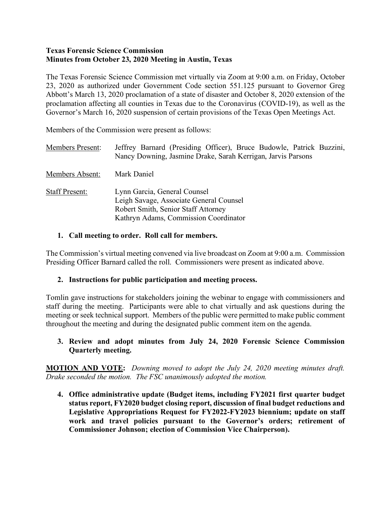#### **Texas Forensic Science Commission Minutes from October 23, 2020 Meeting in Austin, Texas**

The Texas Forensic Science Commission met virtually via Zoom at 9:00 a.m. on Friday, October 23, 2020 as authorized under Government Code section 551.125 pursuant to Governor Greg Abbott's March 13, 2020 proclamation of a state of disaster and October 8, 2020 extension of the proclamation affecting all counties in Texas due to the Coronavirus (COVID-19), as well as the Governor's March 16, 2020 suspension of certain provisions of the Texas Open Meetings Act.

Members of the Commission were present as follows:

| <b>Members Present:</b> | Jeffrey Barnard (Presiding Officer), Bruce Budowle, Patrick Buzzini,<br>Nancy Downing, Jasmine Drake, Sarah Kerrigan, Jarvis Parsons                    |
|-------------------------|---------------------------------------------------------------------------------------------------------------------------------------------------------|
| Members Absent:         | Mark Daniel                                                                                                                                             |
| <b>Staff Present:</b>   | Lynn Garcia, General Counsel<br>Leigh Savage, Associate General Counsel<br>Robert Smith, Senior Staff Attorney<br>Kathryn Adams, Commission Coordinator |

### **1. Call meeting to order. Roll call for members.**

The Commission's virtual meeting convened via live broadcast on Zoom at 9:00 a.m. Commission Presiding Officer Barnard called the roll. Commissioners were present as indicated above.

### **2. Instructions for public participation and meeting process.**

Tomlin gave instructions for stakeholders joining the webinar to engage with commissioners and staff during the meeting. Participants were able to chat virtually and ask questions during the meeting or seek technical support. Members of the public were permitted to make public comment throughout the meeting and during the designated public comment item on the agenda.

#### **3. Review and adopt minutes from July 24, 2020 Forensic Science Commission Quarterly meeting.**

**MOTION AND VOTE:** *Downing moved to adopt the July 24, 2020 meeting minutes draft. Drake seconded the motion. The FSC unanimously adopted the motion.*

**4. Office administrative update (Budget items, including FY2021 first quarter budget status report, FY2020 budget closing report, discussion of final budget reductions and Legislative Appropriations Request for FY2022-FY2023 biennium; update on staff work and travel policies pursuant to the Governor's orders; retirement of Commissioner Johnson; election of Commission Vice Chairperson).**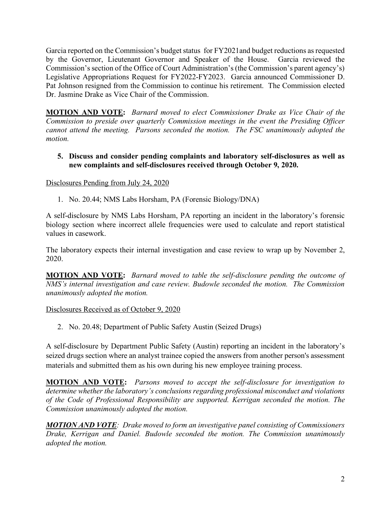Garcia reported on the Commission's budget status for FY2021and budget reductions as requested by the Governor, Lieutenant Governor and Speaker of the House. Garcia reviewed the Commission's section of the Office of Court Administration's (the Commission's parent agency's) Legislative Appropriations Request for FY2022-FY2023. Garcia announced Commissioner D. Pat Johnson resigned from the Commission to continue his retirement. The Commission elected Dr. Jasmine Drake as Vice Chair of the Commission.

**MOTION AND VOTE:** *Barnard moved to elect Commissioner Drake as Vice Chair of the Commission to preside over quarterly Commission meetings in the event the Presiding Officer cannot attend the meeting. Parsons seconded the motion. The FSC unanimously adopted the motion.* 

#### **5. Discuss and consider pending complaints and laboratory self-disclosures as well as new complaints and self-disclosures received through October 9, 2020.**

Disclosures Pending from July 24, 2020

1. No. 20.44; NMS Labs Horsham, PA (Forensic Biology/DNA)

A self-disclosure by NMS Labs Horsham, PA reporting an incident in the laboratory's forensic biology section where incorrect allele frequencies were used to calculate and report statistical values in casework.

The laboratory expects their internal investigation and case review to wrap up by November 2, 2020.

**MOTION AND VOTE:** *Barnard moved to table the self-disclosure pending the outcome of NMS's internal investigation and case review. Budowle seconded the motion. The Commission unanimously adopted the motion.* 

### Disclosures Received as of October 9, 2020

2. No. 20.48; Department of Public Safety Austin (Seized Drugs)

A self-disclosure by Department Public Safety (Austin) reporting an incident in the laboratory's seized drugs section where an analyst trainee copied the answers from another person's assessment materials and submitted them as his own during his new employee training process.

**MOTION AND VOTE:** *Parsons moved to accept the self-disclosure for investigation to determine whether the laboratory's conclusions regarding professional misconduct and violations of the Code of Professional Responsibility are supported. Kerrigan seconded the motion. The Commission unanimously adopted the motion.*

*MOTION AND VOTE: Drake moved to form an investigative panel consisting of Commissioners Drake, Kerrigan and Daniel. Budowle seconded the motion. The Commission unanimously adopted the motion.*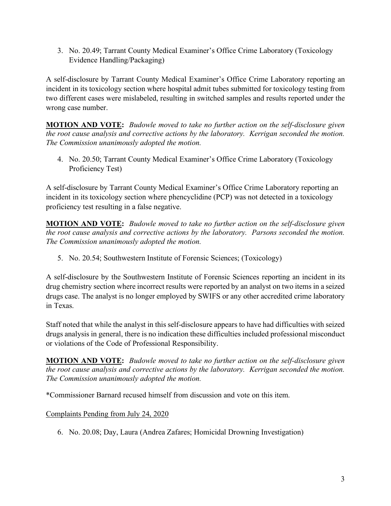3. No. 20.49; Tarrant County Medical Examiner's Office Crime Laboratory (Toxicology Evidence Handling/Packaging)

A self-disclosure by Tarrant County Medical Examiner's Office Crime Laboratory reporting an incident in its toxicology section where hospital admit tubes submitted for toxicology testing from two different cases were mislabeled, resulting in switched samples and results reported under the wrong case number.

**MOTION AND VOTE:** *Budowle moved to take no further action on the self-disclosure given the root cause analysis and corrective actions by the laboratory. Kerrigan seconded the motion. The Commission unanimously adopted the motion.*

4. No. 20.50; Tarrant County Medical Examiner's Office Crime Laboratory (Toxicology Proficiency Test)

A self-disclosure by Tarrant County Medical Examiner's Office Crime Laboratory reporting an incident in its toxicology section where phencyclidine (PCP) was not detected in a toxicology proficiency test resulting in a false negative.

**MOTION AND VOTE:** *Budowle moved to take no further action on the self-disclosure given the root cause analysis and corrective actions by the laboratory. Parsons seconded the motion. The Commission unanimously adopted the motion.*

5. No. 20.54; Southwestern Institute of Forensic Sciences; (Toxicology)

A self-disclosure by the Southwestern Institute of Forensic Sciences reporting an incident in its drug chemistry section where incorrect results were reported by an analyst on two items in a seized drugs case. The analyst is no longer employed by SWIFS or any other accredited crime laboratory in Texas.

Staff noted that while the analyst in this self-disclosure appears to have had difficulties with seized drugs analysis in general, there is no indication these difficulties included professional misconduct or violations of the Code of Professional Responsibility.

**MOTION AND VOTE:** *Budowle moved to take no further action on the self-disclosure given the root cause analysis and corrective actions by the laboratory. Kerrigan seconded the motion. The Commission unanimously adopted the motion.*

\*Commissioner Barnard recused himself from discussion and vote on this item.

# Complaints Pending from July 24, 2020

6. No. 20.08; Day, Laura (Andrea Zafares; Homicidal Drowning Investigation)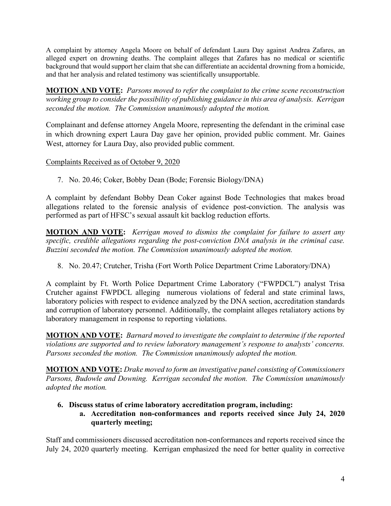A complaint by attorney Angela Moore on behalf of defendant Laura Day against Andrea Zafares, an alleged expert on drowning deaths. The complaint alleges that Zafares has no medical or scientific background that would support her claim that she can differentiate an accidental drowning from a homicide, and that her analysis and related testimony was scientifically unsupportable.

**MOTION AND VOTE:** *Parsons moved to refer the complaint to the crime scene reconstruction working group to consider the possibility of publishing guidance in this area of analysis. Kerrigan seconded the motion. The Commission unanimously adopted the motion.* 

Complainant and defense attorney Angela Moore, representing the defendant in the criminal case in which drowning expert Laura Day gave her opinion, provided public comment. Mr. Gaines West, attorney for Laura Day, also provided public comment.

### Complaints Received as of October 9, 2020

7. No. 20.46; Coker, Bobby Dean (Bode; Forensic Biology/DNA)

A complaint by defendant Bobby Dean Coker against Bode Technologies that makes broad allegations related to the forensic analysis of evidence post-conviction. The analysis was performed as part of HFSC's sexual assault kit backlog reduction efforts.

**MOTION AND VOTE:** *Kerrigan moved to dismiss the complaint for failure to assert any specific, credible allegations regarding the post-conviction DNA analysis in the criminal case. Buzzini seconded the motion. The Commission unanimously adopted the motion.* 

8. No. 20.47; Crutcher, Trisha (Fort Worth Police Department Crime Laboratory/DNA)

A complaint by Ft. Worth Police Department Crime Laboratory ("FWPDCL") analyst Trisa Crutcher against FWPDCL alleging numerous violations of federal and state criminal laws, laboratory policies with respect to evidence analyzed by the DNA section, accreditation standards and corruption of laboratory personnel. Additionally, the complaint alleges retaliatory actions by laboratory management in response to reporting violations.

**MOTION AND VOTE:** *Barnard moved to investigate the complaint to determine if the reported violations are supported and to review laboratory management's response to analysts' concerns. Parsons seconded the motion. The Commission unanimously adopted the motion.* 

**MOTION AND VOTE:** *Drake moved to form an investigative panel consisting of Commissioners Parsons, Budowle and Downing. Kerrigan seconded the motion. The Commission unanimously adopted the motion.* 

### **6. Discuss status of crime laboratory accreditation program, including:**

# **a. Accreditation non-conformances and reports received since July 24, 2020 quarterly meeting;**

Staff and commissioners discussed accreditation non-conformances and reports received since the July 24, 2020 quarterly meeting. Kerrigan emphasized the need for better quality in corrective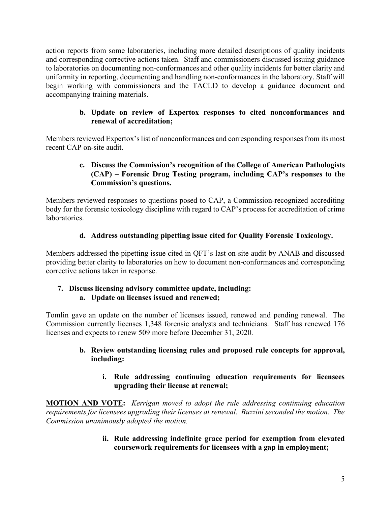action reports from some laboratories, including more detailed descriptions of quality incidents and corresponding corrective actions taken. Staff and commissioners discussed issuing guidance to laboratories on documenting non-conformances and other quality incidents for better clarity and uniformity in reporting, documenting and handling non-conformances in the laboratory. Staff will begin working with commissioners and the TACLD to develop a guidance document and accompanying training materials.

## **b. Update on review of Expertox responses to cited nonconformances and renewal of accreditation;**

Members reviewed Expertox's list of nonconformances and corresponding responses from its most recent CAP on-site audit.

## **c. Discuss the Commission's recognition of the College of American Pathologists (CAP) – Forensic Drug Testing program, including CAP's responses to the Commission's questions.**

Members reviewed responses to questions posed to CAP, a Commission-recognized accrediting body for the forensic toxicology discipline with regard to CAP's process for accreditation of crime **laboratories** 

# **d. Address outstanding pipetting issue cited for Quality Forensic Toxicology.**

Members addressed the pipetting issue cited in QFT's last on-site audit by ANAB and discussed providing better clarity to laboratories on how to document non-conformances and corresponding corrective actions taken in response.

## **7. Discuss licensing advisory committee update, including: a. Update on licenses issued and renewed;**

Tomlin gave an update on the number of licenses issued, renewed and pending renewal. The Commission currently licenses 1,348 forensic analysts and technicians. Staff has renewed 176 licenses and expects to renew 509 more before December 31, 2020.

# **b. Review outstanding licensing rules and proposed rule concepts for approval, including:**

# **i. Rule addressing continuing education requirements for licensees upgrading their license at renewal;**

**MOTION AND VOTE:** *Kerrigan moved to adopt the rule addressing continuing education requirements for licensees upgrading their licenses at renewal. Buzzini seconded the motion. The Commission unanimously adopted the motion.*

> **ii. Rule addressing indefinite grace period for exemption from elevated coursework requirements for licensees with a gap in employment;**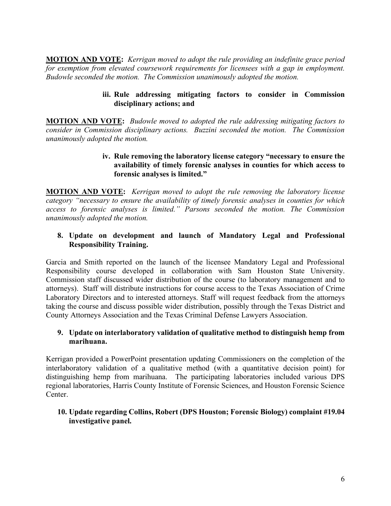**MOTION AND VOTE:** *Kerrigan moved to adopt the rule providing an indefinite grace period for exemption from elevated coursework requirements for licensees with a gap in employment. Budowle seconded the motion. The Commission unanimously adopted the motion.* 

### **iii. Rule addressing mitigating factors to consider in Commission disciplinary actions; and**

**MOTION AND VOTE:** *Budowle moved to adopted the rule addressing mitigating factors to consider in Commission disciplinary actions. Buzzini seconded the motion. The Commission unanimously adopted the motion.* 

#### **iv. Rule removing the laboratory license category "necessary to ensure the availability of timely forensic analyses in counties for which access to forensic analyses is limited."**

**MOTION AND VOTE:** *Kerrigan moved to adopt the rule removing the laboratory license category "necessary to ensure the availability of timely forensic analyses in counties for which access to forensic analyses is limited." Parsons seconded the motion. The Commission unanimously adopted the motion.*

### **8. Update on development and launch of Mandatory Legal and Professional Responsibility Training.**

Garcia and Smith reported on the launch of the licensee Mandatory Legal and Professional Responsibility course developed in collaboration with Sam Houston State University. Commission staff discussed wider distribution of the course (to laboratory management and to attorneys). Staff will distribute instructions for course access to the Texas Association of Crime Laboratory Directors and to interested attorneys. Staff will request feedback from the attorneys taking the course and discuss possible wider distribution, possibly through the Texas District and County Attorneys Association and the Texas Criminal Defense Lawyers Association.

### **9. Update on interlaboratory validation of qualitative method to distinguish hemp from marihuana.**

Kerrigan provided a PowerPoint presentation updating Commissioners on the completion of the interlaboratory validation of a qualitative method (with a quantitative decision point) for distinguishing hemp from marihuana. The participating laboratories included various DPS regional laboratories, Harris County Institute of Forensic Sciences, and Houston Forensic Science Center.

### **10. Update regarding Collins, Robert (DPS Houston; Forensic Biology) complaint #19.04 investigative panel.**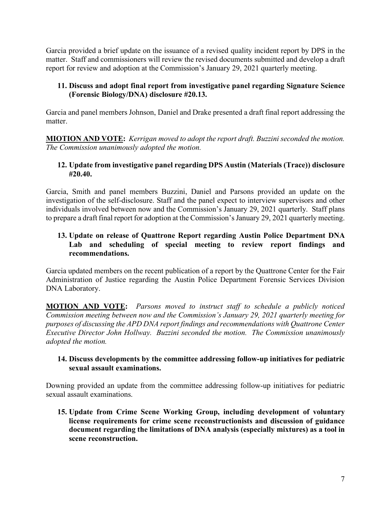Garcia provided a brief update on the issuance of a revised quality incident report by DPS in the matter. Staff and commissioners will review the revised documents submitted and develop a draft report for review and adoption at the Commission's January 29, 2021 quarterly meeting.

### **11. Discuss and adopt final report from investigative panel regarding Signature Science (Forensic Biology/DNA) disclosure #20.13.**

Garcia and panel members Johnson, Daniel and Drake presented a draft final report addressing the matter.

**MIOTION AND VOTE:** *Kerrigan moved to adopt the report draft. Buzzini seconded the motion. The Commission unanimously adopted the motion.*

### **12. Update from investigative panel regarding DPS Austin (Materials (Trace)) disclosure #20.40.**

Garcia, Smith and panel members Buzzini, Daniel and Parsons provided an update on the investigation of the self-disclosure. Staff and the panel expect to interview supervisors and other individuals involved between now and the Commission's January 29, 2021 quarterly. Staff plans to prepare a draft final report for adoption at the Commission's January 29, 2021 quarterly meeting.

### **13. Update on release of Quattrone Report regarding Austin Police Department DNA Lab and scheduling of special meeting to review report findings and recommendations.**

Garcia updated members on the recent publication of a report by the Quattrone Center for the Fair Administration of Justice regarding the Austin Police Department Forensic Services Division DNA Laboratory.

**MOTION AND VOTE:** *Parsons moved to instruct staff to schedule a publicly noticed Commission meeting between now and the Commission's January 29, 2021 quarterly meeting for purposes of discussing the APD DNA report findings and recommendations with Quattrone Center Executive Director John Hollway. Buzzini seconded the motion. The Commission unanimously adopted the motion.* 

### **14. Discuss developments by the committee addressing follow-up initiatives for pediatric sexual assault examinations.**

Downing provided an update from the committee addressing follow-up initiatives for pediatric sexual assault examinations.

**15. Update from Crime Scene Working Group, including development of voluntary license requirements for crime scene reconstructionists and discussion of guidance document regarding the limitations of DNA analysis (especially mixtures) as a tool in scene reconstruction.**